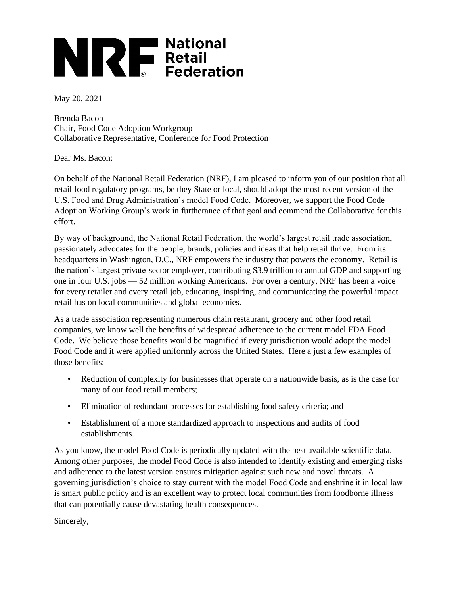## **NORTHERED National Retail**

May 20, 2021

Brenda Bacon Chair, Food Code Adoption Workgroup Collaborative Representative, Conference for Food Protection

Dear Ms. Bacon:

On behalf of the National Retail Federation (NRF), I am pleased to inform you of our position that all retail food regulatory programs, be they State or local, should adopt the most recent version of the U.S. Food and Drug Administration's model Food Code. Moreover, we support the Food Code Adoption Working Group's work in furtherance of that goal and commend the Collaborative for this effort.

By way of background, the National Retail Federation, the world's largest retail trade association, passionately advocates for the people, brands, policies and ideas that help retail thrive. From its headquarters in Washington, D.C., NRF empowers the industry that powers the economy. Retail is the nation's largest private-sector employer, contributing \$3.9 trillion to annual GDP and supporting one in four U.S. jobs — 52 million working Americans. For over a century, NRF has been a voice for every retailer and every retail job, educating, inspiring, and communicating the powerful impact retail has on local communities and global economies.

As a trade association representing numerous chain restaurant, grocery and other food retail companies, we know well the benefits of widespread adherence to the current model FDA Food Code. We believe those benefits would be magnified if every jurisdiction would adopt the model Food Code and it were applied uniformly across the United States. Here a just a few examples of those benefits:

- Reduction of complexity for businesses that operate on a nationwide basis, as is the case for many of our food retail members;
- Elimination of redundant processes for establishing food safety criteria; and
- Establishment of a more standardized approach to inspections and audits of food establishments.

As you know, the model Food Code is periodically updated with the best available scientific data. Among other purposes, the model Food Code is also intended to identify existing and emerging risks and adherence to the latest version ensures mitigation against such new and novel threats. A governing jurisdiction's choice to stay current with the model Food Code and enshrine it in local law is smart public policy and is an excellent way to protect local communities from foodborne illness that can potentially cause devastating health consequences.

Sincerely,